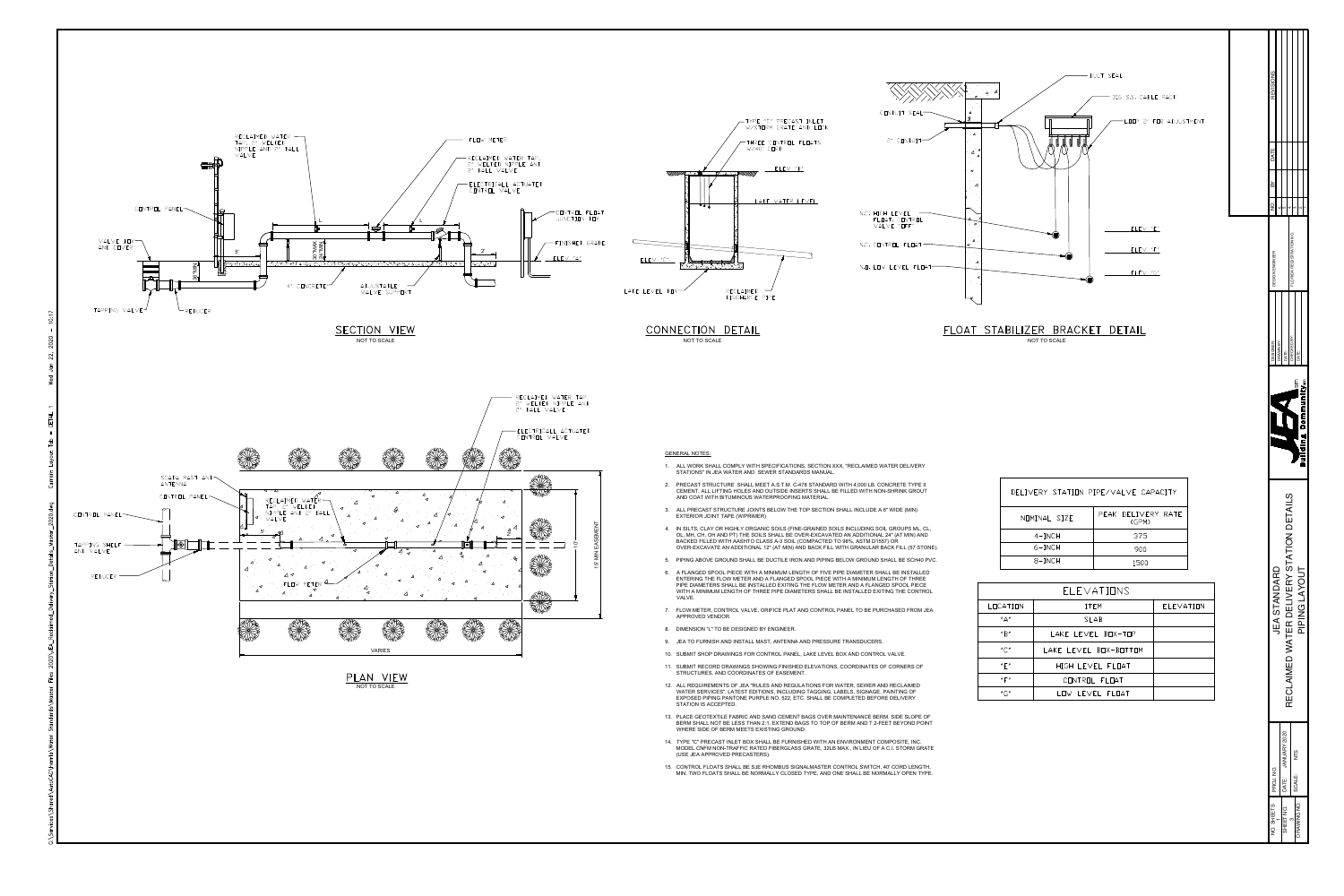

- 
- 
- 
- 
- 
- 
- 
- 
- 
- 
- 
- 
- 
- 
- 

|              | DELIVERY STATION PIPE/VALVE CAPACITY |
|--------------|--------------------------------------|
| NOMINAL SIZE | PEAK DELIVERY RATE<br>(GPM)          |
| $4-INCH$     | 375                                  |
| $6$ -INCH    | 900                                  |
| $8-INCH$     | 1500                                 |

|                                       | ELEVATIONS            |           |
|---------------------------------------|-----------------------|-----------|
| LOCATION                              | <b>ITEM</b>           | ELEVATION |
| "A"                                   | <b>SLAB</b>           |           |
| $^{\prime\prime}$ B $^{\prime\prime}$ | LAKE LEVEL BOX-TOP    |           |
| $'' \bigcap''$                        | LAKE LEVEL BOX-BOTTOM |           |
| " $F$ "                               | HIGH LEVEL FLOAT      |           |
| " $\mathsf{F}$ "                      | CONTROL FLOAT         |           |
| " $G"$                                | LOW LEVEL FLOAT       |           |

| <b>REVISIONS</b>                       |                    |                                          |                                |               |               |                               |
|----------------------------------------|--------------------|------------------------------------------|--------------------------------|---------------|---------------|-------------------------------|
| DATE<br>$\approx$                      |                    |                                          |                                |               |               |                               |
| oj<br>R<br><b>INEER</b><br>DESIGN ENGI | ιó<br>ဖ            | 4.                                       | က်<br>FLORIDA REGISTRATION NO. |               | ۵i            | $\overline{\phantom{a}}$<br>۳ |
| DESIGNER:                              | DRAWN BY:          | DATE:                                    | CHECKED BY:                    | DATE:         |               |                               |
|                                        |                    |                                          |                                | <b>I</b> sm   |               | Building Communitysm          |
| <b>JEA STANDARD</b>                    |                    | RECLAIMED WATER DELIVERY STATION DETAILS |                                |               | PIPING LAYOUT |                               |
| PROJ. NO.                              | DATE: JANUARY 2020 |                                          |                                | NTS<br>SCALE: |               |                               |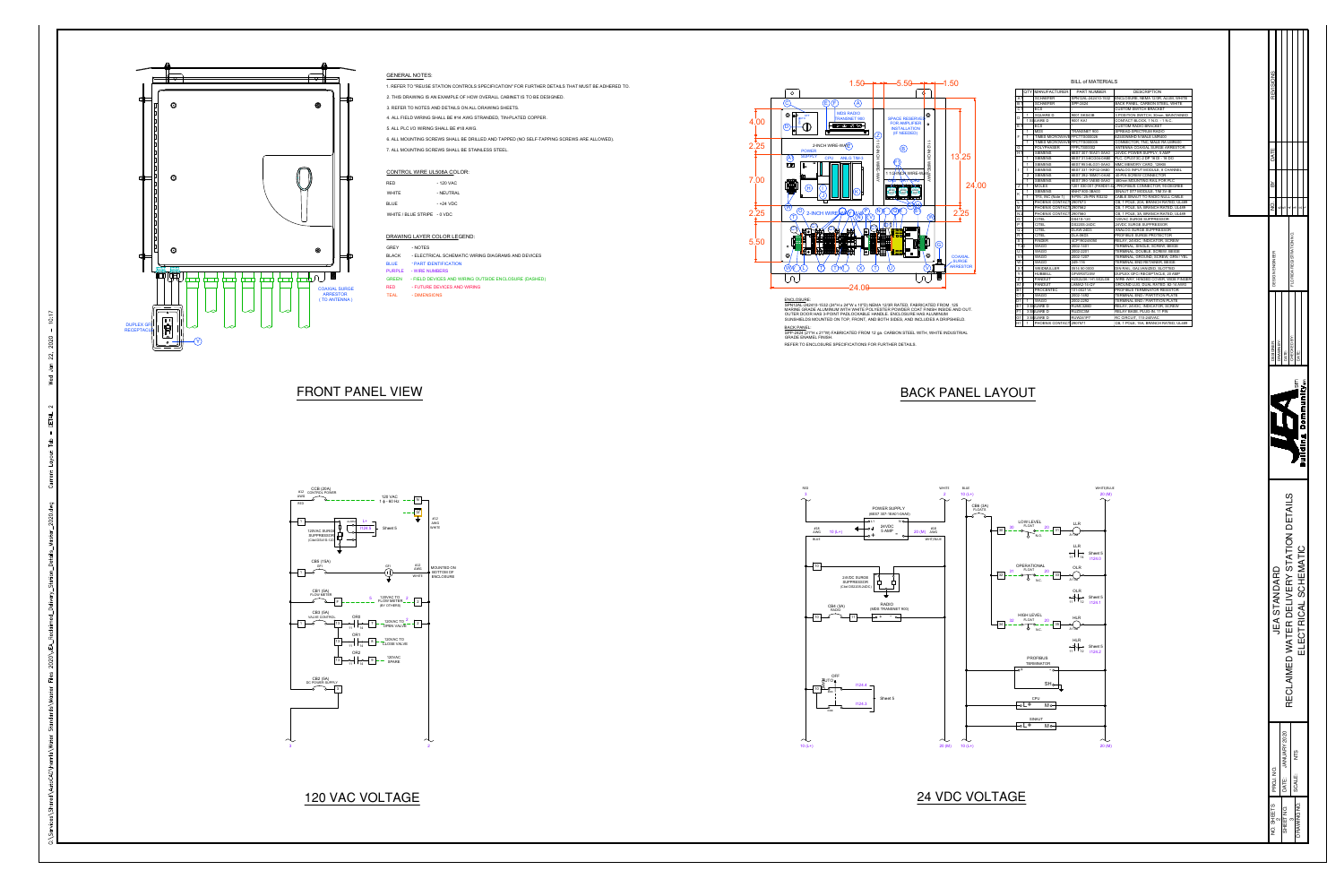## GENERAL NOTES:

1. REFER TO "REUSE STATION CONTROLS SPECIFICATION" FOR FURTHER DETAILS THAT MUST BE ADHERED TO.

2. THIS DRAWING IS AN EXAMPLE OF HOW OVERALL CABINET IS TO BE DESIGNED.

AWG STRANDED, TIN-PLATED COPPER.

| 1. REFER TO "REUSE STATION CONTROLS SPECIFICATION" FOR   |
|----------------------------------------------------------|
| 2. THIS DRAWING IS AN EXAMPLE OF HOW OVERALL CABINET I   |
| 3. REFER TO NOTES AND DETAILS ON ALL DRAWING SHEETS.     |
| 4. ALL FIELD WIRING SHALL BE #14 AWG STRANDED, TIN-PLATE |
| 5. ALL PLC I/O WIRING SHALL BE #18 AWG.                  |
| 6. ALL MOUNTING SCREWS SHALL BE DRILLED AND TAPPED (N    |
| 7. ALL MOUNTING SCREWS SHALL BE STAINLESS STEEL.         |

6. ALL MOUNTING SCREWS SHALL BE DRILLED AND TAPPED (NO SELF-TAPPING SCREWS ARE ALLOWED).

### CONTROL WIRE UL508A COLOR:

| <b>RED</b>                  | - 120 VAC |
|-----------------------------|-----------|
| <b>WHITE</b>                | - NEUTRAL |
| <b>BLUE</b>                 | - +24 VDC |
| WHITE / BLUE STRIPE - 0 VDC |           |

- 120 VAC - NEUTRAL - +24 VDC

**IC WIRING DIAGRAMS AND DEVICES** 

RING OUTSIDE ENCLOSURE (DASHED)

## DRAWING LAYER COLOR LEGEND:



| GREY         | - NOTES                                  |
|--------------|------------------------------------------|
| BLACK        | - ELECTRICAL SCHEMATIC WIRING DIAGRAMS   |
| BLUE.        | - PART IDENTIFICATION                    |
|              | PURPLE - WIRE NUMBERS                    |
| <b>GREEN</b> | - FIELD DEVICES AND WIRING OUTSIDE ENCLO |
| RED          | - FUTURE DEVICES AND WIRING              |
| <b>TEAL</b>  | - DIMENSIONS                             |

 $3$  2

ENCLOSURE: SPN12AL-242410-1532 (24"H x 24"W x 10"D) NEMA 12/3R RATED, FABRICATED FROM .125 MARINE GRADE ALUMINUM WITH WHITE POLYESTER POWDER COAT FINISH INSIDE AND OUT. OUTER DOOR HAS 3-POINT PADLOCKABLE HANDLE. ENCLOSURE HAS ALUMINUM SUNSHIELDS MOUNTED ON TOP, FRONT, AND BOTH SIDES, AND INCLUDES A DRIPSHIELD. BACK PANEL:



SPP-2424 (21"H x 21"W) FABRICATED FROM 12 ga. CARBON STEEL WITH, WHITE INDUSTRIAL GRADE ENAMEL FINISH.



| $-5.50$ + + $-1.50$                             |                |    |                 |       |                |                |                              | <b>BILL of MATERIALS</b> |                                                        |
|-------------------------------------------------|----------------|----|-----------------|-------|----------------|----------------|------------------------------|--------------------------|--------------------------------------------------------|
| Ф                                               |                |    |                 |       |                |                | QTY MANUFACTURER             | <b>PART NUMBER</b>       | <b>DESCRIPTION</b>                                     |
|                                                 |                |    |                 |       | Α              |                | <b>SCHAEFER</b>              | SPN12AL-242410-1532      | ENCLOSURE, NEMA 12/3R, ALUM, WHITE                     |
|                                                 |                |    |                 |       | B              |                | <b>SCHAEFER</b>              | SPP-2424                 | BACK PANEL, CARBON STEEL, WHITE                        |
|                                                 |                |    |                 |       | $\mathsf{C}$   |                | <b>ECS</b>                   |                          | <b>CUSTOM SWITCH BRACKET</b>                           |
|                                                 | O              |    |                 |       |                | -1             | <b>SQUARE D</b>              | 9001 SKS43B              | 3 POSITION SWITCH, 30mm, MAINTAINED                    |
| <b>SPACE RESERVEI</b>                           |                |    |                 |       | D              |                | 1 SQUARE D                   | 9001 KA1                 | CONTACT BLOCK, 1 N.O. - 1 N.C.                         |
| <b>FOR AMPLIFIER</b>                            | $\circ$        |    |                 |       | E              |                | <b>ECS</b>                   |                          | <b>CUSTOM RADIO BRACKET</b>                            |
| <b>INSTALLATION</b>                             |                |    |                 |       |                | -1             | <b>MDS</b>                   | TRANSNET 900             | SPREAD-SPECTRUM RADIO                                  |
| (IF NEEDED)                                     |                |    |                 |       | E              |                | TIMES MICROWAVE FPCTTS000026 |                          | EZ400NMHD N MALE LMR400                                |
|                                                 |                |    |                 |       |                | 1              | TIMES MICROWAVE FPCTTS000005 |                          | CONNECTOR, TNC, MALE RA LMR400                         |
| $\left(\mathsf{B}\right)$                       | 1/2-INCH       |    |                 |       | G              |                | <b>POLYPHASER</b>            | FPPLTS00002              | ANTENNA COAXIAL SURGE ARRESTOR                         |
|                                                 |                |    |                 |       | H              |                | <b>SIEMENS</b>               | 6ES7 307-1EA01-0AA0      | 24VDC POWER SUPPLY, 5 AMP                              |
|                                                 |                |    | 13.25           |       |                |                | <b>SIEMENS</b>               | 6ES7 313-6CG04-0AB0      | PLC, CPU313C-2 DP 16 DI - 16 DO                        |
| (F1)                                            |                |    |                 |       |                | 1              | <b>SIEMENS</b>               | 6ES7 953-8LG31-0AA0      | MMC MEMORY CARD, 128KB                                 |
|                                                 | WIRE           |    |                 |       |                | $\mathbf{1}$   | <b>SIEMENS</b>               | 6ES7 331-1KF02-0AB0      | ANALOG INPUT MODULE, 8 CHANNEL                         |
| 1 1/2-INCH WIRE-WAYS                            |                |    |                 |       |                | 2              | <b>SIEMENS</b>               | 6ES7 392-1BM01-0AA0      | 40-PIN SCREW CONNECTOR                                 |
| ORO QR1 OR2                                     |                |    |                 |       |                | 1              | <b>SIEMENS</b>               | 6ES7 390-1AE80-0AA0      | 480mm MOUNTING RAIL FOR PLC                            |
| <u>୍ବାଦ୍ ତାତ୍ରାଦ୍ୱାଦ୍ୱାଦ୍ୱାଦ୍ୱାଦ୍ୱାଦ୍ୱ ତାତ୍</u> |                |    |                 | 24.00 | J              | $\mathbf{1}$   | <b>MOLEX</b>                 |                          | 1201 030 001 (PA9D01-42) PROFIBUS CONNECTOR, 90-DEGREE |
|                                                 |                |    |                 |       |                |                | <b>SIEMENS</b>               | 6NH7 800-3BA00           | SINAUT ST7 MODULE, TIM 3V-IE                           |
|                                                 |                |    |                 |       | K              |                | TFS, INC (Note 1)            | 9-PIN / 25-PIN RS232     | CABLE SINAUT TO RADIO NULL CABLE                       |
|                                                 |                |    |                 |       | $\mathbf{I}$   |                | PHOENIX CONTACT 2907573      |                          | CB, 1 POLE, 20A, BRANCH RATED, UL489                   |
| GNH                                             |                |    |                 |       | M              |                | PHOENIX CONTACT 2907562      |                          | CB, 1 POLE, 5A, BRANCH RATED, UL489                    |
| <u>(C)</u><br>B1                                |                |    | 2.25            |       | N              |                | PHOENIX CONTACT              | 2907560                  | CB, 1 POLE, 3A, BRANCH RATED, UL489                    |
|                                                 | (W             |    |                 |       | $\circ$        |                | <b>CITEL</b>                 | DS41S-120                | 120VAC SURGE SUPPRESSOR                                |
|                                                 |                |    |                 |       | P              |                | <b>CITEL</b>                 | DS220S-24DC              | 24VDC SURGE SUPPRESSOR                                 |
|                                                 |                |    |                 |       | Q              |                | <b>CITEL</b>                 | DLAW-24D3                | ANALOG SURGE SUPPRESSOR                                |
|                                                 |                |    |                 |       | $\mathsf R$    |                | <b>CITEL</b>                 | <b>DLA-06D3</b>          | PROFIBUS SURGE PROTECTOR                               |
|                                                 |                |    |                 |       | ${\mathsf S}$  |                | <b>FINDER</b>                | 4CP190245050             | RELAY, 24VDC, INDICATOR, SCREW                         |
|                                                 |                | G) |                 |       | T 20           |                | <b>WAGO</b>                  | 2002-1401                | TERMINAL, SINGLE, SCREW, BEIGE                         |
| HITHE H                                         |                |    |                 |       | U              |                | <b>WAGO</b>                  | 2002-2201                | TERMINAL, DOUBLE, SCREW, BEIGE                         |
| $\blacksquare$                                  | $\circledcirc$ |    | <b>COAXIAL</b>  |       | $\vee$         |                | <b>WAGO</b>                  | 2002-1207                | TERMINAL, GROUND, SCREW, GRN / YEL                     |
|                                                 |                |    | <b>SURGE</b>    |       | W              |                | <b>WAGO</b>                  | 249-116                  | TERMINAL END RETAINER, BEIGE                           |
| (บ)                                             | v              |    | <b>ARRESTOR</b> |       | $\times$       |                | WEIDMULLER                   | 0514 50 0000             | DIN RAIL, GALVANIZED, SLOTTED                          |
|                                                 |                |    |                 |       | Y              |                | <b>HUBBELL</b>               | GFWRST20W                | DUPLEX GFCI RECEPTACLE, 20 AMP                         |
|                                                 |                |    |                 |       | Z              |                | <b>PANDUIT</b>               | H2X2LG6 / H1.5X2LG6      | WIRE-WAY, HINGED COVER, WIDE FINGER                    |
|                                                 |                |    |                 |       | A <sub>1</sub> |                | <b>PANDUIT</b>               |                          |                                                        |
|                                                 |                |    |                 |       | <b>B1</b>      |                | <b>PROCENTEC</b>             | LAMA2-14-QY              | GROUND LUG, DUAL RATED, #2-14 AWG                      |
|                                                 |                |    |                 |       |                |                |                              | 101-00211A               | PROFIBUS TERMINATOR RESISTOR                           |
|                                                 |                |    |                 |       | C <sub>1</sub> |                | <b>WAGO</b>                  | 2002-1492                | TERMINAL END / PARTITION PLATE                         |
| 125. AA 12/3R RATED, FABRICATED FROM            |                |    |                 |       | D <sub>1</sub> |                | <b>WAGO</b>                  | 2002-2292                | TERMINAL END / PARTITION PLATE                         |
| ESTER POWDER COAT FINISH INSIDE AND OUT.        |                |    |                 |       | E <sub>1</sub> |                | 3 SQUARE D                   | RUMC32BD                 | RELAY, 24VDC, INDICATOR, SCREW                         |
| NDLE. ENCLOSURE HAS ALUMINUM                    |                |    |                 |       | F <sub>1</sub> |                | 3 SQUARE D                   | RUZSC3M                  | RELAY BASE, PLUG-IN, 11 PIN                            |
| BOTH SIDES, AND INCLUDES A DRIPSHIELD.          |                |    |                 |       | G <sub>1</sub> |                | 3 SQUARE D                   | <b>RUW241P7</b>          | RC CIRCUIT, 110-240VAC                                 |
|                                                 |                |    |                 |       | H <sub>1</sub> | $\overline{1}$ | PHOENIX CONTACT 2907571      |                          | CB, 1 POLE, 15A, BRANCH RATED, UL489                   |

| <b>REVISIONS</b>     |                     |                    |                                          |                 |                      |                      |
|----------------------|---------------------|--------------------|------------------------------------------|-----------------|----------------------|----------------------|
| DATE                 |                     |                    |                                          |                 |                      |                      |
| ≧                    |                     |                    |                                          |                 |                      |                      |
|                      |                     | 5                  |                                          |                 |                      |                      |
| EER<br>DESIGN ENGINE |                     |                    | FLORIDA REGISTRATION NO.                 |                 |                      |                      |
| DESIGNER:            | DRAWN BY:           | DATE:              | CHECKED BY:                              |                 | DATE:                |                      |
|                      |                     |                    |                                          | ms              |                      | Building Communitysm |
|                      | <b>JEA STANDARD</b> |                    | RECLAIMED WATER DELIVERY STATION DETAILS |                 | ELECTRICAL SCHEMATIC |                      |
|                      |                     | DATE: JANUARY 2020 |                                          | NT <sub>S</sub> |                      |                      |
| PROJ. NO.            |                     |                    |                                          | SCALE:          |                      |                      |